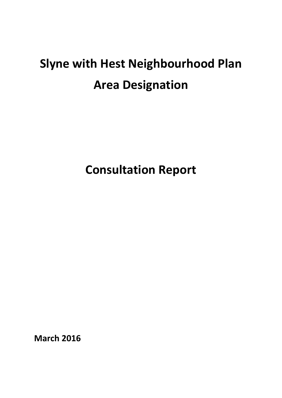# **Slyne with Hest Neighbourhood Plan Area Designation**

**Consultation Report**

**March 2016**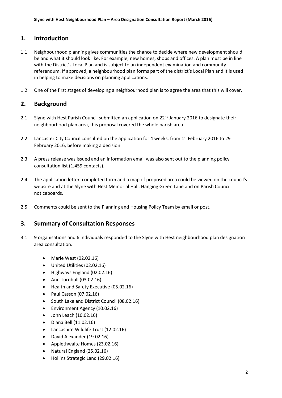#### **1. Introduction**

- 1.1 Neighbourhood planning gives communities the chance to decide where new development should be and what it should look like. For example, new homes, shops and offices. A plan must be in line with the District's Local Plan and is subject to an independent examination and community referendum. If approved, a neighbourhood plan forms part of the district's Local Plan and it is used in helping to make decisions on planning applications.
- 1.2 One of the first stages of developing a neighbourhood plan is to agree the area that this will cover.

## **2. Background**

- 2.1 Slyne with Hest Parish Council submitted an application on  $22^{nd}$  January 2016 to designate their neighbourhood plan area, this proposal covered the whole parish area.
- 2.2 Lancaster City Council consulted on the application for 4 weeks, from 1<sup>st</sup> February 2016 to 29<sup>th</sup> February 2016, before making a decision.
- 2.3 A press release was issued and an information email was also sent out to the planning policy consultation list (1,459 contacts).
- 2.4 The application letter, completed form and a map of proposed area could be viewed on the council's website and at the Slyne with Hest Memorial Hall, Hanging Green Lane and on Parish Council noticeboards.
- 2.5 Comments could be sent to the Planning and Housing Policy Team by email or post.

#### **3. Summary of Consultation Responses**

- 3.1 9 organisations and 6 individuals responded to the Slyne with Hest neighbourhood plan designation area consultation.
	- Marie West (02.02.16)
	- United Utilities (02.02.16)
	- Highways England (02.02.16)
	- $\bullet$  Ann Turnbull (03.02.16)
	- Health and Safety Executive (05.02.16)
	- $\bullet$  Paul Casson (07.02.16)
	- South Lakeland District Council (08.02.16)
	- Environment Agency (10.02.16)
	- $\bullet$  John Leach (10.02.16)
	- Diana Bell (11.02.16)
	- Lancashire Wildlife Trust (12.02.16)
	- David Alexander (19.02.16)
	- Applethwaite Homes (23.02.16)
	- Natural England (25.02.16)
	- Hollins Strategic Land (29.02.16)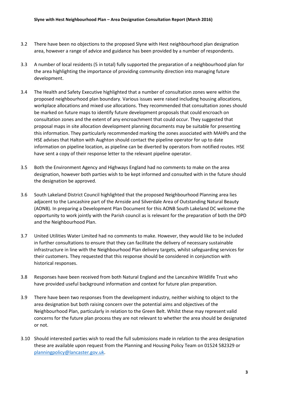- 3.2 There have been no objections to the proposed Slyne with Hest neighbourhood plan designation area, however a range of advice and guidance has been provided by a number of respondents.
- 3.3 A number of local residents (5 in total) fully supported the preparation of a neighbourhood plan for the area highlighting the importance of providing community direction into managing future development.
- 3.4 The Health and Safety Executive highlighted that a number of consultation zones were within the proposed neighbourhood plan boundary. Various issues were raised including housing allocations, workplace allocations and mixed use allocations. They recommended that consultation zones should be marked on future maps to identify future development proposals that could encroach on consultation zones and the extent of any encroachment that could occur. They suggested that proposal maps in site allocation development planning documents may be suitable for presenting this information. They particularly recommended marking the zones associated with MAHPs and the HSE advises that Halton with Aughton should contact the pipeline operator for up to date information on pipeline location, as pipeline can be diverted by operators from notified routes. HSE have sent a copy of their response letter to the relevant pipeline operator.
- 3.5 Both the Environment Agency and Highways England had no comments to make on the area designation, however both parties wish to be kept informed and consulted with in the future should the designation be approved.
- 3.6 South Lakeland District Council highlighted that the proposed Neighbourhood Planning area lies adjacent to the Lancashire part of the Arnside and Silverdale Area of Outstanding Natural Beauty (AONB). In preparing a Development Plan Document for this AONB South Lakeland DC welcome the opportunity to work jointly with the Parish council as is relevant for the preparation of both the DPD and the Neighbourhood Plan.
- 3.7 United Utilities Water Limited had no comments to make. However, they would like to be included in further consultations to ensure that they can facilitate the delivery of necessary sustainable infrastructure in line with the Neighbourhood Plan delivery targets, whilst safeguarding services for their customers. They requested that this response should be considered in conjunction with historical responses.
- 3.8 Responses have been received from both Natural England and the Lancashire Wildlife Trust who have provided useful background information and context for future plan preparation.
- 3.9 There have been two responses from the development industry, neither wishing to object to the area designation but both raising concern over the potential aims and objectives of the Neighbourhood Plan, particularly in relation to the Green Belt. Whilst these may represent valid concerns for the future plan process they are not relevant to whether the area should be designated or not.
- 3.10 Should interested parties wish to read the full submissions made in relation to the area designation these are available upon request from the Planning and Housing Policy Team on 01524 582329 or [planningpolicy@lancaster.gov.uk.](mailto:planningpolicy@lancaster.gov.uk)